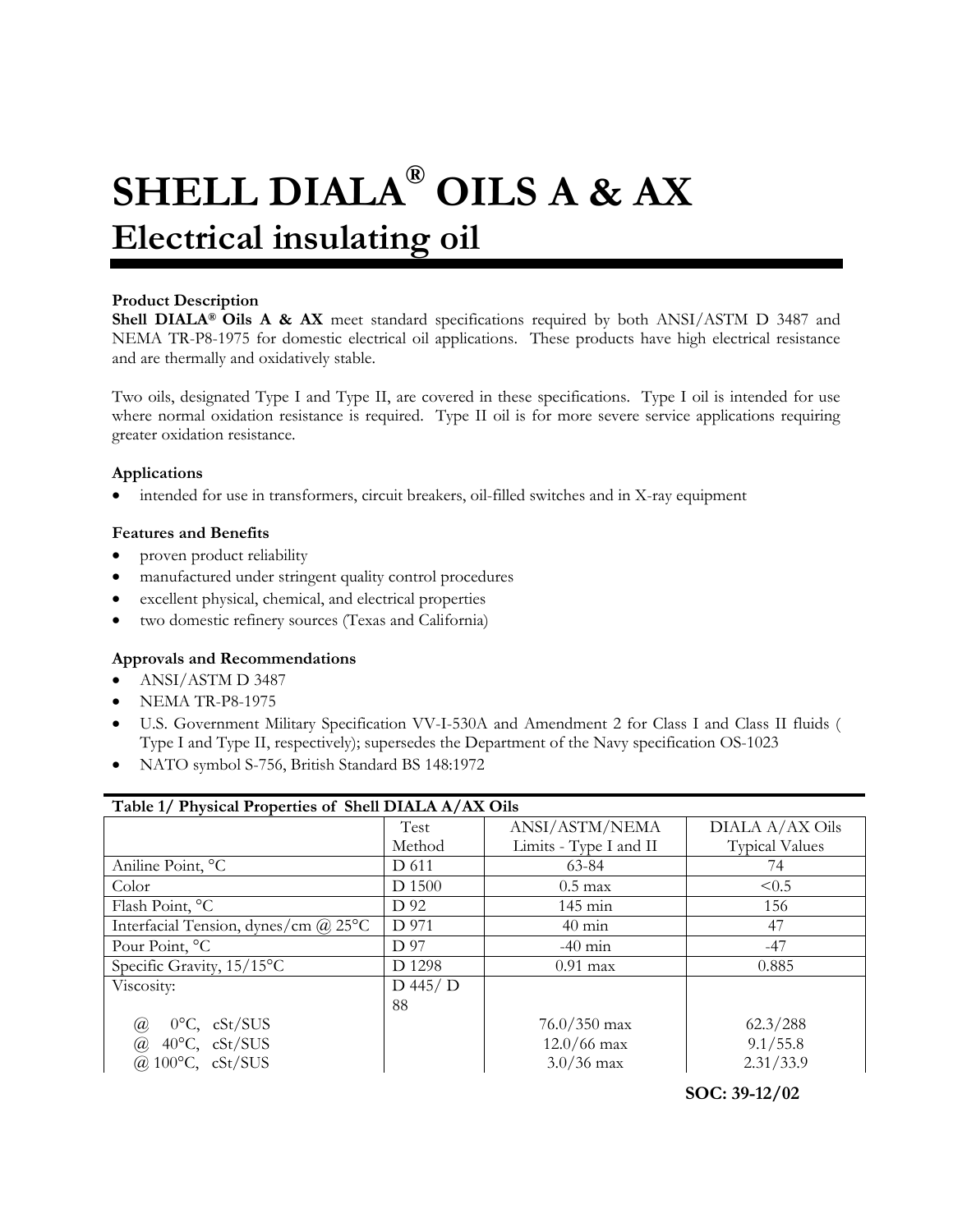# **SHELL DIALA® OILS A & AX Electrical insulating oil**

# **Product Description**

**Shell DIALA® Oils A & AX** meet standard specifications required by both ANSI/ASTM D 3487 and NEMA TR-P8-1975 for domestic electrical oil applications. These products have high electrical resistance and are thermally and oxidatively stable.

Two oils, designated Type I and Type II, are covered in these specifications. Type I oil is intended for use where normal oxidation resistance is required. Type II oil is for more severe service applications requiring greater oxidation resistance.

### **Applications**

• intended for use in transformers, circuit breakers, oil-filled switches and in X-ray equipment

#### **Features and Benefits**

- proven product reliability
- manufactured under stringent quality control procedures
- excellent physical, chemical, and electrical properties
- two domestic refinery sources (Texas and California)

# **Approvals and Recommendations**

- ANSI/ASTM D 3487
- NEMA TR-P8-1975
- U.S. Government Military Specification VV-I-530A and Amendment 2 for Class I and Class II fluids ( Type I and Type II, respectively); supersedes the Department of the Navy specification OS-1023
- NATO symbol S-756, British Standard BS 148:1972

| Table 1/ Physical Properties of Shell DIALA A/AX Oils |              |                        |                       |  |  |
|-------------------------------------------------------|--------------|------------------------|-----------------------|--|--|
|                                                       | Test         | ANSI/ASTM/NEMA         | DIALA A/AX Oils       |  |  |
|                                                       | Method       | Limits - Type I and II | <b>Typical Values</b> |  |  |
| Aniline Point, °C                                     | D 611        | 63-84                  | 74                    |  |  |
| Color                                                 | D 1500       | $0.5 \text{ max}$      | < 0.5                 |  |  |
| Flash Point, °C                                       | D 92         | 145 min                | 156                   |  |  |
| Interfacial Tension, dynes/cm $\omega$ 25°C           | D 971        | $40 \text{ min}$       | 47                    |  |  |
| Pour Point, °C                                        | D 97         | $-40$ min              | $-47$                 |  |  |
| Specific Gravity, 15/15°C                             | D 1298       | $0.91$ max             | 0.885                 |  |  |
| Viscosity:                                            | $D$ 445/ $D$ |                        |                       |  |  |
|                                                       | 88           |                        |                       |  |  |
| $0^{\circ}$ C, cSt/SUS<br>@                           |              | $76.0 / 350$ max       | 62.3/288              |  |  |
| $40^{\circ}$ C, cSt/SUS<br>@                          |              | $12.0/66$ max          | 9.1/55.8              |  |  |
| @ $100^{\circ}$ C, cSt/SUS                            |              | $3.0/36$ max           | 2.31/33.9             |  |  |

# **SOC: 39-12/02**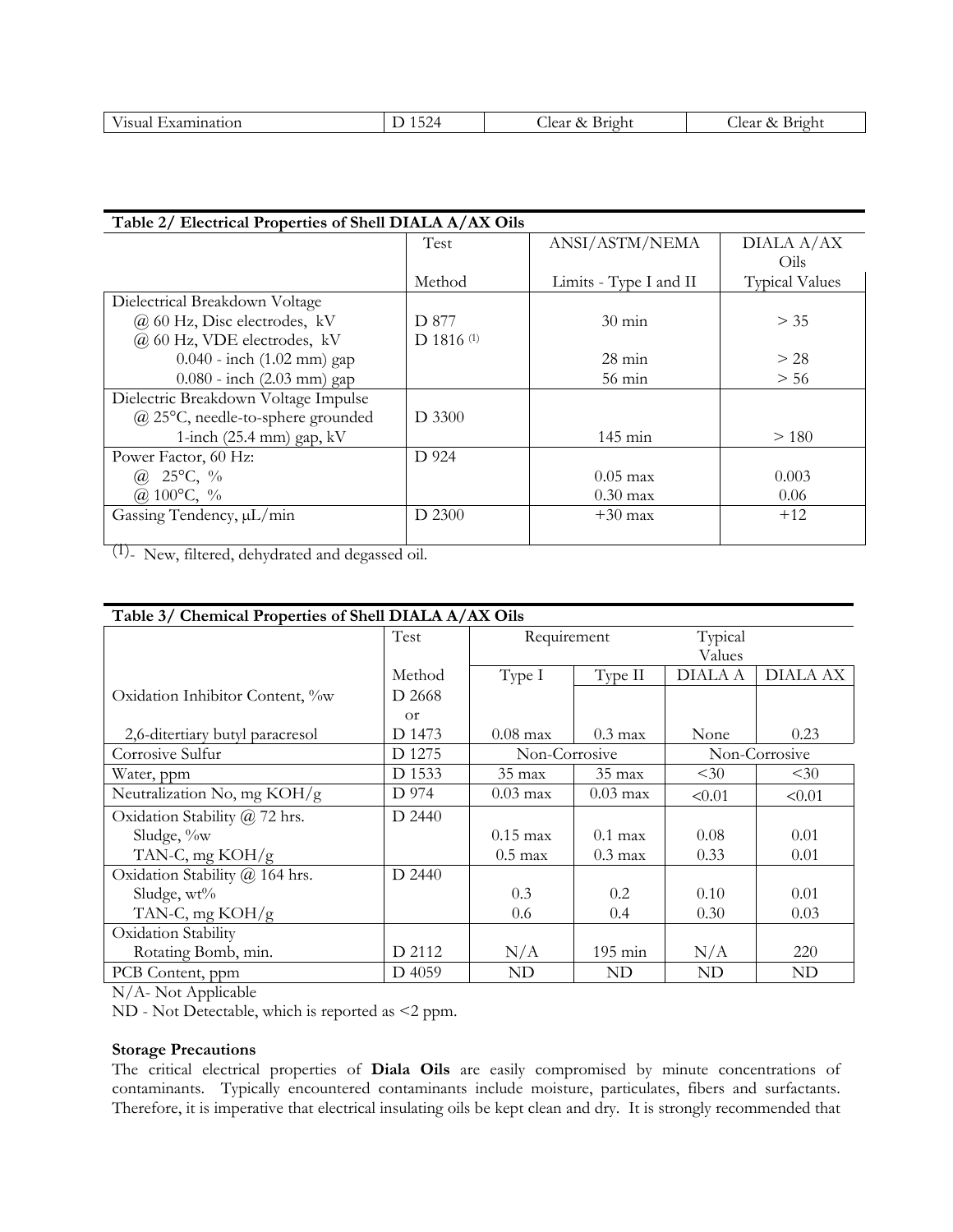|  | <b>Sec. 2013</b><br>1C110<br>unation.<br>.oua<br>$\lambda$ $\Lambda$ $\mu$ | ∕ 4<br>1 J 4<br>. . | lear.<br>Bright<br>$\lambda$ | --<br>. v.<br>. Jear-<br>Bright<br>$\sim$ |
|--|----------------------------------------------------------------------------|---------------------|------------------------------|-------------------------------------------|
|--|----------------------------------------------------------------------------|---------------------|------------------------------|-------------------------------------------|

| Table 2/ Electrical Properties of Shell DIALA A/AX Oils |              |                        |                       |  |  |
|---------------------------------------------------------|--------------|------------------------|-----------------------|--|--|
|                                                         | Test         | ANSI/ASTM/NEMA         | DIALA A/AX            |  |  |
|                                                         |              |                        | Oils                  |  |  |
|                                                         | Method       | Limits - Type I and II | <b>Typical Values</b> |  |  |
| Dielectrical Breakdown Voltage                          |              |                        |                       |  |  |
| $(a)$ 60 Hz, Disc electrodes, kV                        | D 877        | $30 \text{ min}$       | > 35                  |  |  |
| @ 60 Hz, VDE electrodes, kV                             | $D$ 1816 (1) |                        |                       |  |  |
| $0.040$ - inch $(1.02 \text{ mm})$ gap                  |              | $28 \text{ min}$       | > 28                  |  |  |
| $0.080$ - inch $(2.03 \text{ mm})$ gap                  |              | $56 \text{ min}$       | > 56                  |  |  |
| Dielectric Breakdown Voltage Impulse                    |              |                        |                       |  |  |
| $(a)$ 25°C, needle-to-sphere grounded                   | D 3300       |                        |                       |  |  |
| 1-inch $(25.4 \text{ mm})$ gap, kV                      |              | $145 \text{ min}$      | >180                  |  |  |
| Power Factor, 60 Hz:                                    | D 924        |                        |                       |  |  |
| (a) $25^{\circ}$ C, %                                   |              | $0.05 \text{ max}$     | 0.003                 |  |  |
| @ 100 $^{\circ}$ C, %                                   |              | $0.30 \text{ max}$     | 0.06                  |  |  |
| Gassing Tendency, $\mu L/min$                           | D 2300       | $+30$ max              | $+12$                 |  |  |
|                                                         |              |                        |                       |  |  |

(1)- New, filtered, dehydrated and degassed oil.

| Table 3/ Chemical Properties of Shell DIALA A/AX Oils |                |                    |                    |                |                 |  |
|-------------------------------------------------------|----------------|--------------------|--------------------|----------------|-----------------|--|
|                                                       | Test           | Requirement        |                    | Typical        |                 |  |
|                                                       |                |                    |                    | Values         |                 |  |
|                                                       | Method         | Type I             | Type II            | <b>DIALA A</b> | <b>DIALA AX</b> |  |
| Oxidation Inhibitor Content, %w                       | D 2668         |                    |                    |                |                 |  |
|                                                       | <sub>O</sub> r |                    |                    |                |                 |  |
| 2,6-ditertiary butyl paracresol                       | D 1473         | $0.08 \text{ max}$ | $0.3 \text{ max}$  | None           | 0.23            |  |
| Corrosive Sulfur                                      | D 1275         | Non-Corrosive      |                    | Non-Corrosive  |                 |  |
| Water, ppm                                            | D 1533         | $35 \text{ max}$   | $35 \text{ max}$   | $30$           | $30$            |  |
| Neutralization No, mg $KOH/g$                         | D 974          | $0.03 \text{ max}$ | $0.03 \text{ max}$ | < 0.01         | < 0.01          |  |
| Oxidation Stability @ 72 hrs.                         | D 2440         |                    |                    |                |                 |  |
| Sludge, %w                                            |                | $0.15 \text{ max}$ | $0.1$ max          | 0.08           | 0.01            |  |
| TAN-C, mg $KOH/g$                                     |                | $0.5 \text{ max}$  | $0.3 \text{ max}$  | 0.33           | 0.01            |  |
| Oxidation Stability @ 164 hrs.                        | D 2440         |                    |                    |                |                 |  |
| Sludge, $wt\%$                                        |                | 0.3                | 0.2                | 0.10           | 0.01            |  |
| TAN-C, mg $KOH/g$                                     |                | 0.6                | 0.4                | 0.30           | 0.03            |  |
| Oxidation Stability                                   |                |                    |                    |                |                 |  |
| Rotating Bomb, min.                                   | D 2112         | N/A                | $195 \text{ min}$  | N/A            | 220             |  |
| PCB Content, ppm                                      | D 4059         | ND                 | ND                 | ND             | ND              |  |

N/A- Not Applicable

ND - Not Detectable, which is reported as <2 ppm.

### **Storage Precautions**

The critical electrical properties of **Diala Oils** are easily compromised by minute concentrations of contaminants. Typically encountered contaminants include moisture, particulates, fibers and surfactants. Therefore, it is imperative that electrical insulating oils be kept clean and dry. It is strongly recommended that